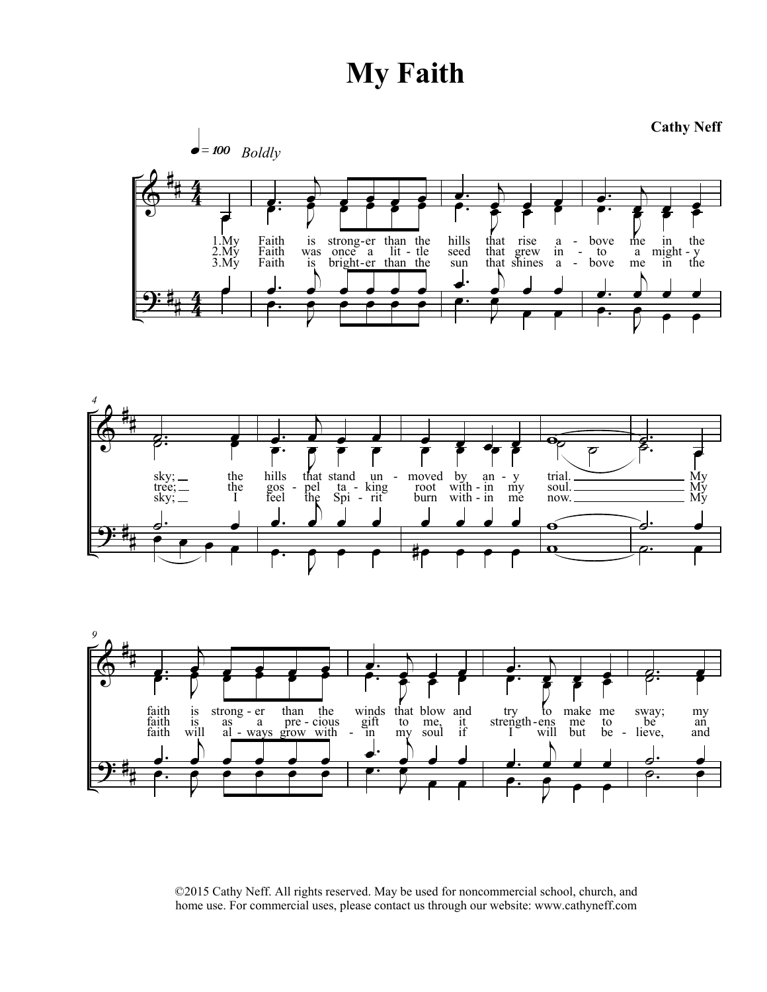## **My Faith**







©2015 Cathy Neff. All rights reserved. May be used for noncommercial school, church, and home use. For commercial uses, please contact us through our website: www.cathyneff.com

**Cathy Neff**